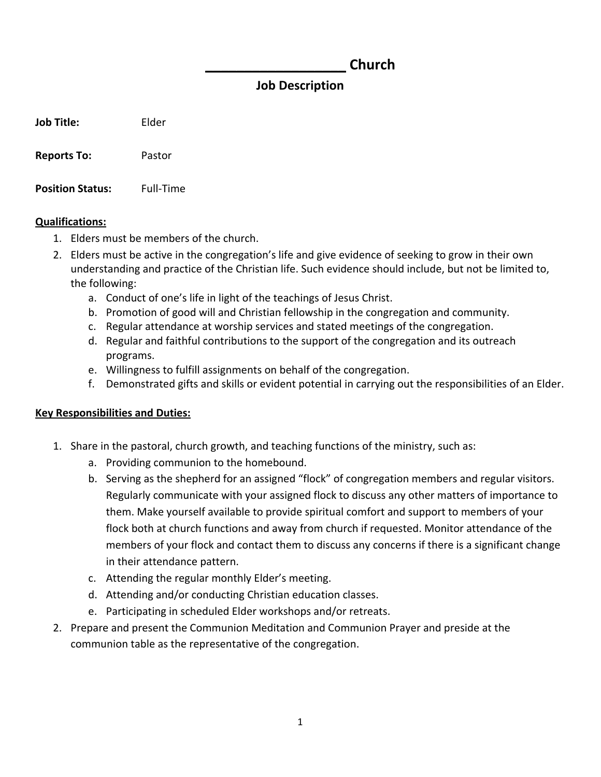## **\_\_\_\_\_\_\_\_\_\_\_\_\_\_\_\_\_\_ Church**

## **Job Description**

**Job Title:** Elder

**Reports To:** Pastor

**Position Status:** Full‐Time

## **Qualifications:**

- 1. Elders must be members of the church.
- 2. Elders must be active in the congregation's life and give evidence of seeking to grow in their own understanding and practice of the Christian life. Such evidence should include, but not be limited to, the following:
	- a. Conduct of one's life in light of the teachings of Jesus Christ.
	- b. Promotion of good will and Christian fellowship in the congregation and community.
	- c. Regular attendance at worship services and stated meetings of the congregation.
	- d. Regular and faithful contributions to the support of the congregation and its outreach programs.
	- e. Willingness to fulfill assignments on behalf of the congregation.
	- f. Demonstrated gifts and skills or evident potential in carrying out the responsibilities of an Elder.

## **Key Responsibilities and Duties:**

- 1. Share in the pastoral, church growth, and teaching functions of the ministry, such as:
	- a. Providing communion to the homebound.
	- b. Serving as the shepherd for an assigned "flock" of congregation members and regular visitors. Regularly communicate with your assigned flock to discuss any other matters of importance to them. Make yourself available to provide spiritual comfort and support to members of your flock both at church functions and away from church if requested. Monitor attendance of the members of your flock and contact them to discuss any concerns if there is a significant change in their attendance pattern.
	- c. Attending the regular monthly Elder's meeting.
	- d. Attending and/or conducting Christian education classes.
	- e. Participating in scheduled Elder workshops and/or retreats.
- 2. Prepare and present the Communion Meditation and Communion Prayer and preside at the communion table as the representative of the congregation.